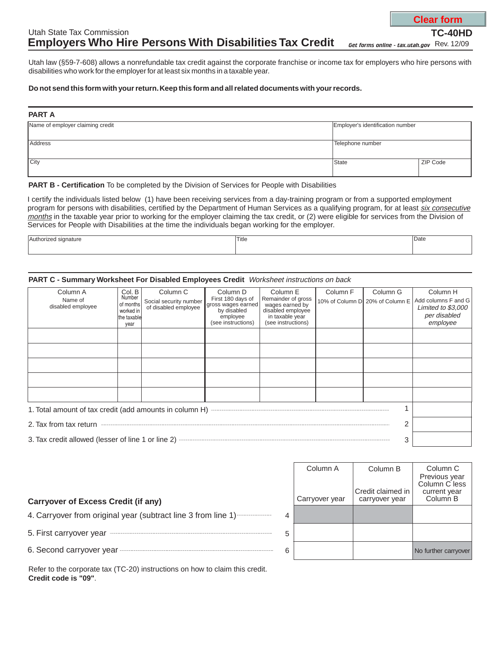# Utah State Tax Commission **Employers Who Hire Persons With Disabilities Tax Credit**

*Get forms online - tax.utah.gov* Rev. 12/09

Utah law (§59-7-608) allows a nonrefundable tax credit against the corporate franchise or income tax for employers who hire persons with disabilities who work for the employer for at least six months in a taxable year.

### **Do not send this form with your return.Keep this form and all related documents with your records.**

#### **PART A**

| Name of employer claiming credit | Employer's identification number |          |  |
|----------------------------------|----------------------------------|----------|--|
| Address                          | Telephone number                 |          |  |
| City                             | State                            | ZIP Code |  |

#### **PART B - Certification** To be completed by the Division of Services for People with Disabilities

I certify the individuals listed below (1) have been receiving services from a day-training program or from a supported employment program for persons with disabilities, certified by the Department of Human Services as a qualifying program, for at least <u>six consecutive</u> months in the taxable year prior to working for the employer claiming the tax credit, or (2) were eligible for services from the Division of Services for People with Disabilities at the time the individuals began working for the employer.

| $\mathbf{A}$<br>signature<br>$r_{\rm A}$ | Title | Date |
|------------------------------------------|-------|------|
|                                          |       |      |

#### **PART C - Summary Worksheet For Disabled Employees Credit** Worksheet instructions on back

| Column A<br>Name of                                     | Col. B<br>Number         | Column <sub>C</sub>                            | Column D<br>First 180 days of | Column E<br>Remainder of gross       | Column F | Column G                        | Column H                                  |
|---------------------------------------------------------|--------------------------|------------------------------------------------|-------------------------------|--------------------------------------|----------|---------------------------------|-------------------------------------------|
| disabled employee                                       | of months                | Social security number<br>of disabled employee | gross wages earned            | wages earned by                      |          | 10% of Column D 20% of Column E | Add columns F and G<br>Limited to \$3,000 |
|                                                         | worked in<br>the taxable |                                                | by disabled<br>employee       | disabled employee<br>in taxable year |          |                                 | per disabled                              |
|                                                         | year                     |                                                | (see instructions)            | (see instructions)                   |          |                                 | employee                                  |
|                                                         |                          |                                                |                               |                                      |          |                                 |                                           |
|                                                         |                          |                                                |                               |                                      |          |                                 |                                           |
|                                                         |                          |                                                |                               |                                      |          |                                 |                                           |
|                                                         |                          |                                                |                               |                                      |          |                                 |                                           |
|                                                         |                          |                                                |                               |                                      |          |                                 |                                           |
|                                                         |                          |                                                |                               |                                      |          |                                 |                                           |
|                                                         |                          |                                                |                               |                                      |          |                                 |                                           |
| 1. Total amount of tax credit (add amounts in column H) |                          |                                                |                               |                                      |          |                                 |                                           |
| 2. Tax from tax return<br>2                             |                          |                                                |                               |                                      |          |                                 |                                           |
| 3. Tax credit allowed (lesser of line 1 or line 2)<br>3 |                          |                                                |                               |                                      |          |                                 |                                           |

## **Carryover of Excess Credit (if any)**

4. Carryover from original year (subtract line 3 from line 1)

5. First carryover year

6. Second carryover year

|   | Column A<br>Carryover year | Column B<br>Credit claimed in<br>carryover year | Column <sub>C</sub><br>Previous year<br>Column C less<br>current year<br>Column <sub>B</sub> |
|---|----------------------------|-------------------------------------------------|----------------------------------------------------------------------------------------------|
| 4 |                            |                                                 |                                                                                              |
| 5 |                            |                                                 |                                                                                              |
| 6 |                            |                                                 | No further carryover                                                                         |

Refer to the corporate tax (TC-20) instructions on how to claim this credit. **Credit code is "09"**.

**Clear form**

**TC-40HD**